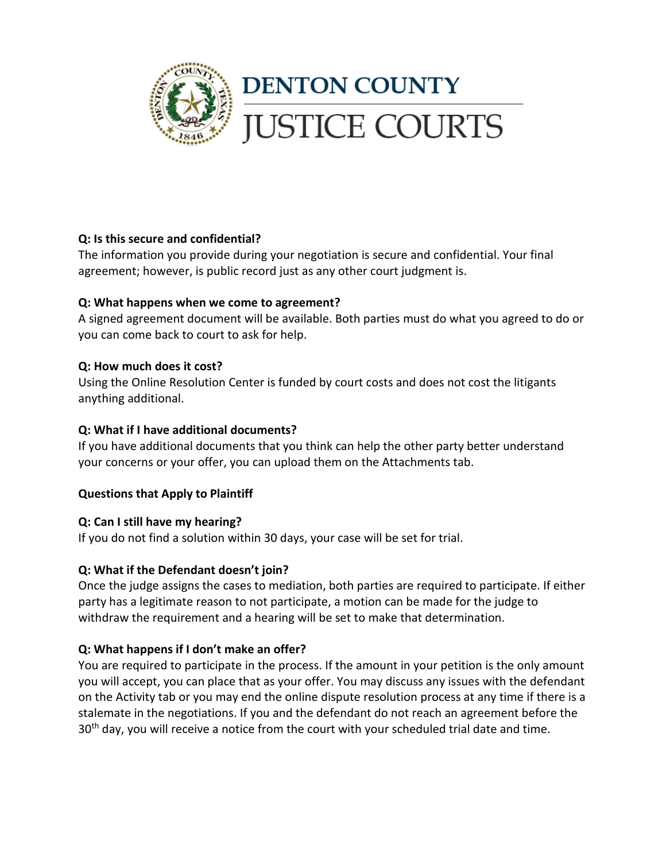

# **Q: Is this secure and confidential?**

The information you provide during your negotiation is secure and confidential. Your final agreement; however, is public record just as any other court judgment is.

# **Q: What happens when we come to agreement?**

A signed agreement document will be available. Both parties must do what you agreed to do or you can come back to court to ask for help.

# **Q: How much does it cost?**

Using the Online Resolution Center is funded by court costs and does not cost the litigants anything additional.

## **Q: What if I have additional documents?**

If you have additional documents that you think can help the other party better understand your concerns or your offer, you can upload them on the Attachments tab.

## **Questions that Apply to Plaintiff**

## **Q: Can I still have my hearing?**

If you do not find a solution within 30 days, your case will be set for trial.

# **Q: What if the Defendant doesn't join?**

Once the judge assigns the cases to mediation, both parties are required to participate. If either party has a legitimate reason to not participate, a motion can be made for the judge to withdraw the requirement and a hearing will be set to make that determination.

## **Q: What happens if I don't make an offer?**

You are required to participate in the process. If the amount in your petition is the only amount you will accept, you can place that as your offer. You may discuss any issues with the defendant on the Activity tab or you may end the online dispute resolution process at any time if there is a stalemate in the negotiations. If you and the defendant do not reach an agreement before the 30<sup>th</sup> day, you will receive a notice from the court with your scheduled trial date and time.